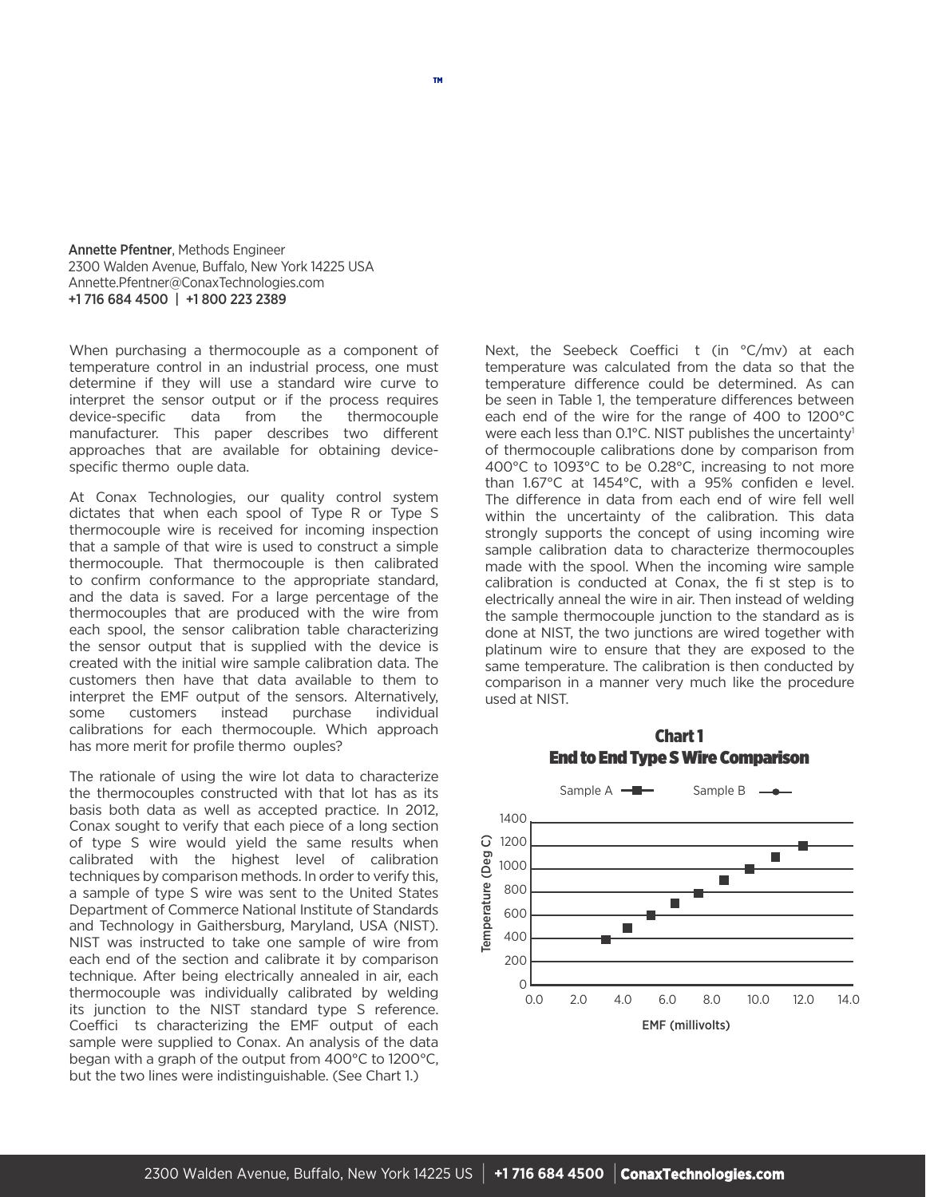Annette Pfentner, Methods Engineer 2300 Walden Avenue, Buffalo, New York 14225 USA Annette.Pfentner@ConaxTechnologies.com +1 716 684 4500 | +1 800 223 2389

When purchasing a thermocouple as a component of temperature control in an industrial process, one must determine if they will use a standard wire curve to interpret the sensor output or if the process requires device-specific data from the thermocouple manufacturer. This paper describes two different approaches that are available for obtaining devicespecific thermo ouple data.

At Conax Technologies, our quality control system dictates that when each spool of Type R or Type S thermocouple wire is received for incoming inspection that a sample of that wire is used to construct a simple thermocouple. That thermocouple is then calibrated to confirm conformance to the appropriate standard, and the data is saved. For a large percentage of the thermocouples that are produced with the wire from each spool, the sensor calibration table characterizing the sensor output that is supplied with the device is created with the initial wire sample calibration data. The customers then have that data available to them to interpret the EMF output of the sensors. Alternatively, some customers instead purchase individual calibrations for each thermocouple. Which approach has more merit for profile thermo ouples?

The rationale of using the wire lot data to characterize the thermocouples constructed with that lot has as its basis both data as well as accepted practice. In 2012, Conax sought to verify that each piece of a long section of type S wire would yield the same results when calibrated with the highest level of calibration techniques by comparison methods. In order to verify this, a sample of type S wire was sent to the United States Department of Commerce National Institute of Standards and Technology in Gaithersburg, Maryland, USA (NIST). NIST was instructed to take one sample of wire from each end of the section and calibrate it by comparison technique. After being electrically annealed in air, each thermocouple was individually calibrated by welding its junction to the NIST standard type S reference. Coeffici ts characterizing the EMF output of each sample were supplied to Conax. An analysis of the data began with a graph of the output from 400°C to 1200°C, but the two lines were indistinguishable. (See Chart 1.)

Next, the Seebeck Coeffici t (in °C/mv) at each temperature was calculated from the data so that the temperature difference could be determined. As can be seen in Table 1, the temperature differences between each end of the wire for the range of 400 to 1200°C were each less than 0.1°C. NIST publishes the uncertainty<sup>1</sup> of thermocouple calibrations done by comparison from 400°C to 1093°C to be 0.28°C, increasing to not more than 1.67°C at 1454°C, with a 95% confiden e level. The difference in data from each end of wire fell well within the uncertainty of the calibration. This data strongly supports the concept of using incoming wire sample calibration data to characterize thermocouples made with the spool. When the incoming wire sample calibration is conducted at Conax, the fi st step is to electrically anneal the wire in air. Then instead of welding the sample thermocouple junction to the standard as is done at NIST, the two junctions are wired together with platinum wire to ensure that they are exposed to the same temperature. The calibration is then conducted by comparison in a manner very much like the procedure used at NIST.